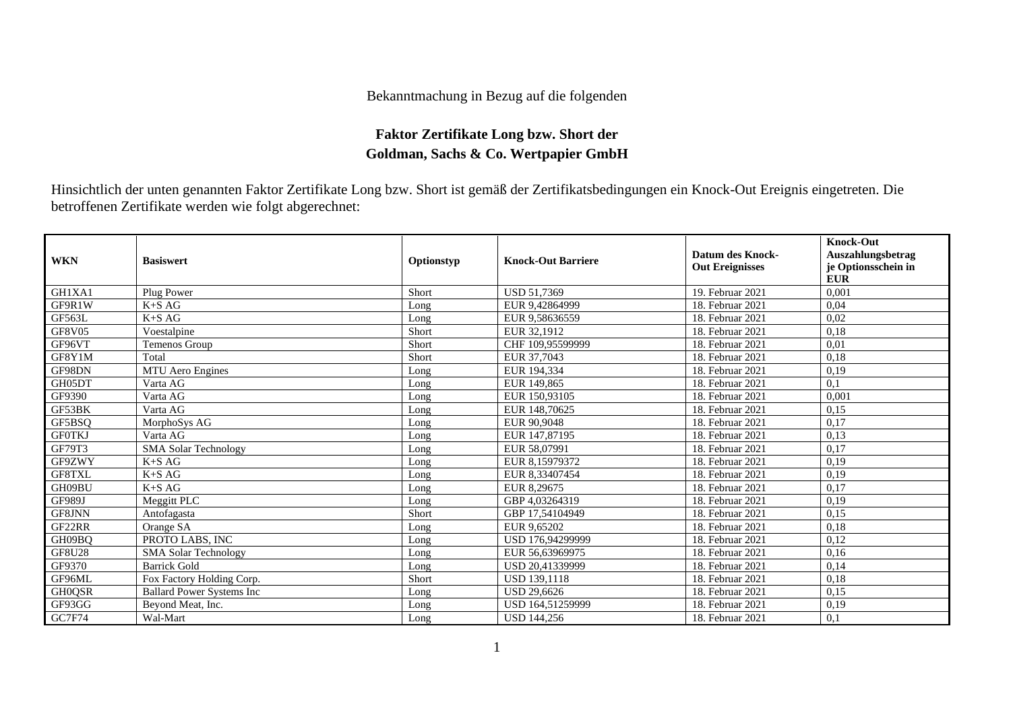## Bekanntmachung in Bezug auf die folgenden

## **Faktor Zertifikate Long bzw. Short der Goldman, Sachs & Co. Wertpapier GmbH**

Hinsichtlich der unten genannten Faktor Zertifikate Long bzw. Short ist gemäß der Zertifikatsbedingungen ein Knock-Out Ereignis eingetreten. Die betroffenen Zertifikate werden wie folgt abgerechnet:

| <b>WKN</b>    | <b>Basiswert</b>                 | Optionstyp | <b>Knock-Out Barriere</b> | Datum des Knock-<br><b>Out Ereignisses</b> | <b>Knock-Out</b><br>Auszahlungsbetrag<br>je Optionsschein in<br><b>EUR</b> |
|---------------|----------------------------------|------------|---------------------------|--------------------------------------------|----------------------------------------------------------------------------|
| GH1XA1        | Plug Power                       | Short      | <b>USD 51.7369</b>        | 19. Februar 2021                           | 0,001                                                                      |
| GF9R1W        | $K+SAG$                          | Long       | EUR 9.42864999            | 18. Februar 2021                           | 0.04                                                                       |
| GF563L        | $K+SAG$                          | Long       | EUR 9,58636559            | 18. Februar 2021                           | 0,02                                                                       |
| <b>GF8V05</b> | Voestalpine                      | Short      | EUR 32,1912               | 18. Februar 2021                           | 0,18                                                                       |
| GF96VT        | Temenos Group                    | Short      | CHF 109.95599999          | 18. Februar 2021                           | 0,01                                                                       |
| GF8Y1M        | Total                            | Short      | EUR 37,7043               | 18. Februar 2021                           | 0,18                                                                       |
| GF98DN        | MTU Aero Engines                 | Long       | EUR 194,334               | 18. Februar 2021                           | 0,19                                                                       |
| GH05DT        | Varta AG                         | Long       | EUR 149,865               | 18. Februar 2021                           | 0,1                                                                        |
| GF9390        | Varta AG                         | Long       | EUR 150.93105             | 18. Februar 2021                           | 0.001                                                                      |
| GF53BK        | Varta AG                         | Long       | EUR 148,70625             | 18. Februar 2021                           | 0,15                                                                       |
| GF5BSO        | MorphoSys AG                     | Long       | EUR 90.9048               | 18. Februar 2021                           | 0,17                                                                       |
| <b>GF0TKJ</b> | Varta AG                         | Long       | EUR 147,87195             | 18. Februar 2021                           | 0,13                                                                       |
| GF79T3        | <b>SMA Solar Technology</b>      | Long       | EUR 58,07991              | 18. Februar 2021                           | 0,17                                                                       |
| GF9ZWY        | $K+SAG$                          | Long       | EUR 8.15979372            | 18. Februar 2021                           | 0.19                                                                       |
| GF8TXL        | $K+SAG$                          | Long       | EUR 8,33407454            | 18. Februar 2021                           | 0,19                                                                       |
| GH09BU        | $K+SAG$                          | Long       | EUR 8,29675               | 18. Februar 2021                           | 0,17                                                                       |
| <b>GF989J</b> | Meggitt PLC                      | Long       | GBP 4.03264319            | 18. Februar 2021                           | 0,19                                                                       |
| <b>GF8JNN</b> | Antofagasta                      | Short      | GBP 17.54104949           | 18. Februar 2021                           | 0.15                                                                       |
| GF22RR        | Orange SA                        | Long       | EUR 9,65202               | 18. Februar 2021                           | 0,18                                                                       |
| GH09BO        | PROTO LABS, INC                  | Long       | USD 176,94299999          | 18. Februar 2021                           | 0,12                                                                       |
| <b>GF8U28</b> | <b>SMA Solar Technology</b>      | Long       | EUR 56,63969975           | 18. Februar 2021                           | 0.16                                                                       |
| GF9370        | <b>Barrick Gold</b>              | Long       | USD 20.41339999           | 18. Februar 2021                           | 0.14                                                                       |
| GF96ML        | Fox Factory Holding Corp.        | Short      | USD 139,1118              | 18. Februar 2021                           | 0,18                                                                       |
| <b>GH0QSR</b> | <b>Ballard Power Systems Inc</b> | Long       | <b>USD 29.6626</b>        | 18. Februar 2021                           | 0,15                                                                       |
| GF93GG        | Beyond Meat, Inc.                | Long       | USD 164.51259999          | 18. Februar 2021                           | 0,19                                                                       |
| <b>GC7F74</b> | Wal-Mart                         | Long       | <b>USD 144,256</b>        | 18. Februar 2021                           | 0,1                                                                        |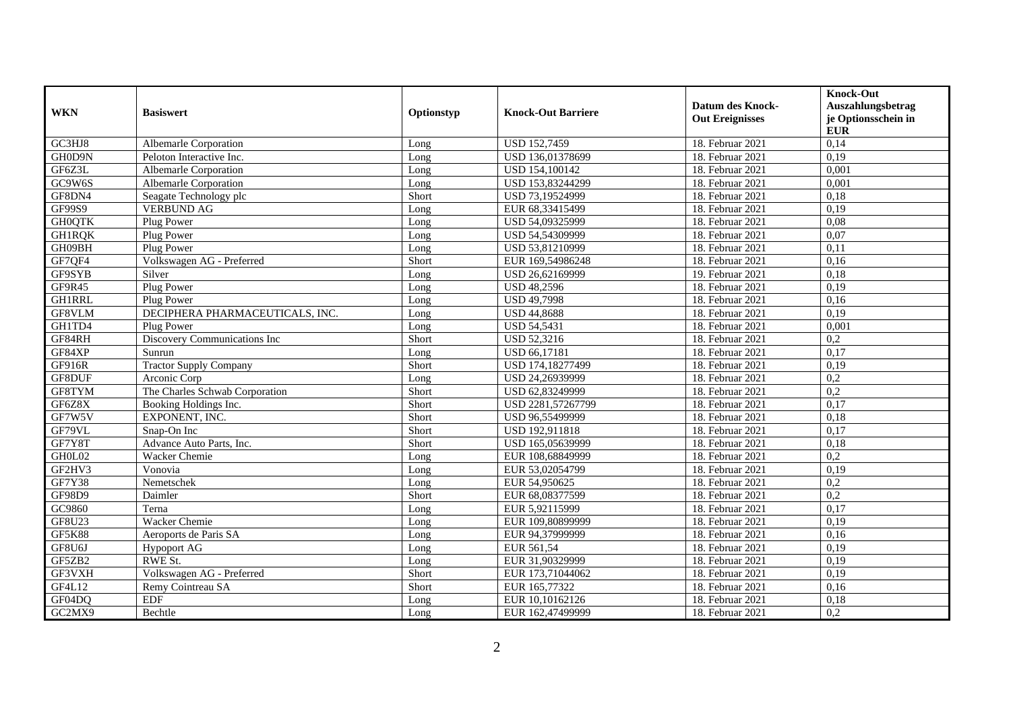| <b>WKN</b>    | <b>Basiswert</b>                | Optionstyp | <b>Knock-Out Barriere</b> | <b>Datum des Knock-</b><br><b>Out Ereignisses</b> | <b>Knock-Out</b><br>Auszahlungsbetrag<br>je Optionsschein in<br><b>EUR</b> |
|---------------|---------------------------------|------------|---------------------------|---------------------------------------------------|----------------------------------------------------------------------------|
| GC3HJ8        | Albemarle Corporation           | Long       | <b>USD 152,7459</b>       | 18. Februar 2021                                  | 0,14                                                                       |
| GH0D9N        | Peloton Interactive Inc.        | Long       | USD 136,01378699          | 18. Februar 2021                                  | 0,19                                                                       |
| GF6Z3L        | Albemarle Corporation           | Long       | USD 154,100142            | 18. Februar 2021                                  | 0,001                                                                      |
| GC9W6S        | Albemarle Corporation           | Long       | USD 153,83244299          | 18. Februar 2021                                  | 0,001                                                                      |
| GF8DN4        | Seagate Technology plc          | Short      | USD 73,19524999           | 18. Februar 2021                                  | 0.18                                                                       |
| GF99S9        | <b>VERBUND AG</b>               | Long       | EUR 68,33415499           | 18. Februar 2021                                  | 0,19                                                                       |
| <b>GH0QTK</b> | Plug Power                      | Long       | USD 54,09325999           | 18. Februar 2021                                  | 0,08                                                                       |
| <b>GH1RQK</b> | Plug Power                      | Long       | USD 54,54309999           | 18. Februar 2021                                  | 0,07                                                                       |
| GH09BH        | Plug Power                      | Long       | USD 53,81210999           | 18. Februar 2021                                  | 0,11                                                                       |
| GF7QF4        | Volkswagen AG - Preferred       | Short      | EUR 169,54986248          | 18. Februar 2021                                  | 0,16                                                                       |
| GF9SYB        | Silver                          | Long       | USD 26,62169999           | 19. Februar 2021                                  | 0,18                                                                       |
| GF9R45        | Plug Power                      | Long       | <b>USD 48,2596</b>        | 18. Februar 2021                                  | 0.19                                                                       |
| <b>GH1RRL</b> | Plug Power                      | Long       | <b>USD 49,7998</b>        | 18. Februar 2021                                  | 0,16                                                                       |
| GF8VLM        | DECIPHERA PHARMACEUTICALS, INC. | Long       | <b>USD 44,8688</b>        | 18. Februar 2021                                  | 0,19                                                                       |
| GH1TD4        | Plug Power                      | Long       | <b>USD 54,5431</b>        | 18. Februar 2021                                  | 0,001                                                                      |
| GF84RH        | Discovery Communications Inc    | Short      | <b>USD 52,3216</b>        | 18. Februar 2021                                  | 0,2                                                                        |
| GF84XP        | Sunrun                          | Long       | <b>USD 66.17181</b>       | 18. Februar 2021                                  | 0,17                                                                       |
| GF916R        | <b>Tractor Supply Company</b>   | Short      | USD 174,18277499          | 18. Februar 2021                                  | 0,19                                                                       |
| GF8DUF        | Arconic Corp                    | Long       | USD 24,26939999           | 18. Februar 2021                                  | $\overline{0,2}$                                                           |
| GF8TYM        | The Charles Schwab Corporation  | Short      | USD 62,83249999           | 18. Februar 2021                                  | $\overline{0.2}$                                                           |
| GF6Z8X        | Booking Holdings Inc.           | Short      | USD 2281,57267799         | 18. Februar 2021                                  | 0,17                                                                       |
| GF7W5V        | EXPONENT, INC.                  | Short      | USD 96,55499999           | 18. Februar 2021                                  | 0,18                                                                       |
| GF79VL        | Snap-On Inc                     | Short      | USD 192,911818            | 18. Februar 2021                                  | 0,17                                                                       |
| GF7Y8T        | Advance Auto Parts, Inc.        | Short      | USD 165,05639999          | 18. Februar 2021                                  | 0.18                                                                       |
| GH0L02        | Wacker Chemie                   | Long       | EUR 108,68849999          | 18. Februar 2021                                  | 0,2                                                                        |
| GF2HV3        | Vonovia                         | Long       | EUR 53,02054799           | 18. Februar 2021                                  | 0.19                                                                       |
| GF7Y38        | Nemetschek                      | Long       | EUR 54,950625             | 18. Februar 2021                                  | 0,2                                                                        |
| <b>GF98D9</b> | Daimler                         | Short      | EUR 68,08377599           | 18. Februar 2021                                  | 0,2                                                                        |
| GC9860        | Terna                           | Long       | EUR 5,92115999            | 18. Februar 2021                                  | 0,17                                                                       |
| GF8U23        | Wacker Chemie                   | Long       | EUR 109,80899999          | 18. Februar 2021                                  | 0,19                                                                       |
| <b>GF5K88</b> | Aeroports de Paris SA           | Long       | EUR 94,37999999           | 18. Februar 2021                                  | 0.16                                                                       |
| GF8U6J        | <b>Hypoport AG</b>              | Long       | EUR 561,54                | 18. Februar 2021                                  | 0,19                                                                       |
| GF5ZB2        | RWE St.                         | Long       | EUR 31,90329999           | 18. Februar 2021                                  | 0,19                                                                       |
| GF3VXH        | Volkswagen AG - Preferred       | Short      | EUR 173,71044062          | 18. Februar 2021                                  | 0,19                                                                       |
| GF4L12        | Remy Cointreau SA               | Short      | EUR 165,77322             | 18. Februar 2021                                  | 0,16                                                                       |
| GF04DQ        | <b>EDF</b>                      | Long       | EUR 10,10162126           | 18. Februar 2021                                  | 0,18                                                                       |
| GC2MX9        | Bechtle                         | Long       | EUR 162,47499999          | 18. Februar 2021                                  | 0,2                                                                        |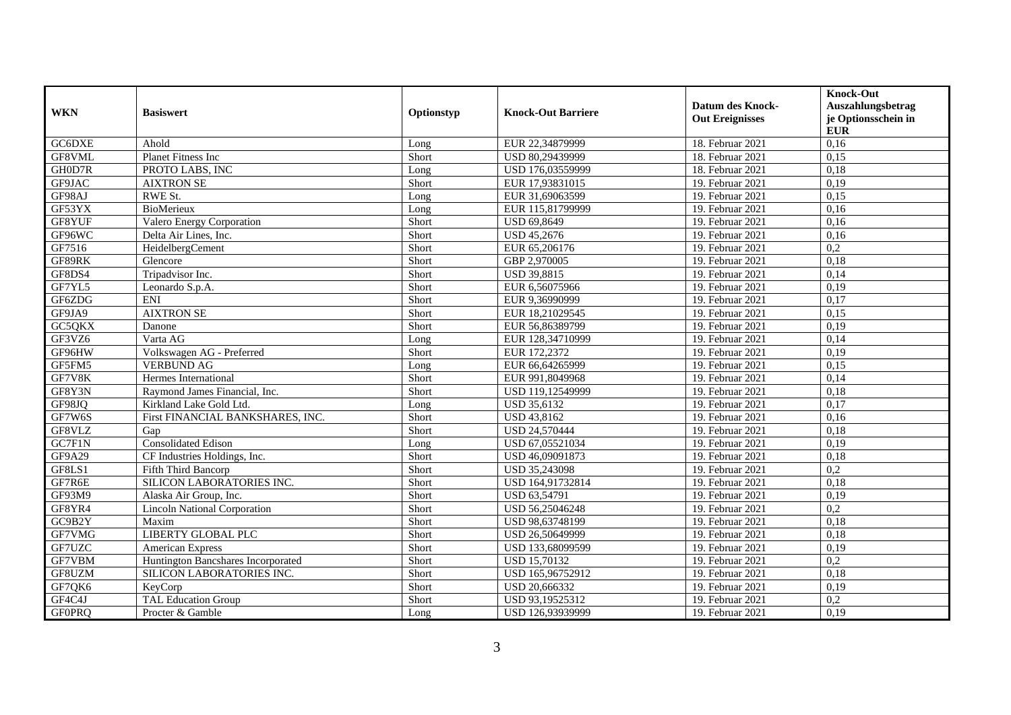|               |                                     |            |                           | <b>Datum des Knock-</b> | <b>Knock-Out</b><br>Auszahlungsbetrag |
|---------------|-------------------------------------|------------|---------------------------|-------------------------|---------------------------------------|
| <b>WKN</b>    | <b>Basiswert</b>                    | Optionstyp | <b>Knock-Out Barriere</b> | <b>Out Ereignisses</b>  | je Optionsschein in<br><b>EUR</b>     |
| GC6DXE        | Ahold                               | Long       | EUR 22,34879999           | 18. Februar 2021        | 0,16                                  |
| GF8VML        | Planet Fitness Inc                  | Short      | USD 80,29439999           | 18. Februar 2021        | 0,15                                  |
| GH0D7R        | PROTO LABS, INC                     | Long       | USD 176,03559999          | 18. Februar 2021        | 0,18                                  |
| GF9JAC        | <b>AIXTRON SE</b>                   | Short      | EUR 17,93831015           | 19. Februar 2021        | 0,19                                  |
| GF98AJ        | <b>RWE St.</b>                      | Long       | EUR 31,69063599           | 19. Februar 2021        | 0,15                                  |
| GF53YX        | BioMerieux                          | Long       | EUR 115,81799999          | 19. Februar 2021        | 0,16                                  |
| GF8YUF        | Valero Energy Corporation           | Short      | USD 69,8649               | 19. Februar 2021        | 0,16                                  |
| GF96WC        | Delta Air Lines, Inc.               | Short      | <b>USD 45,2676</b>        | 19. Februar 2021        | 0,16                                  |
| GF7516        | HeidelbergCement                    | Short      | EUR 65,206176             | 19. Februar 2021        | 0,2                                   |
| GF89RK        | Glencore                            | Short      | GBP 2,970005              | 19. Februar 2021        | 0,18                                  |
| GF8DS4        | Tripadvisor Inc.                    | Short      | <b>USD 39,8815</b>        | 19. Februar 2021        | 0,14                                  |
| GF7YL5        | Leonardo S.p.A.                     | Short      | EUR 6,56075966            | 19. Februar 2021        | 0,19                                  |
| GF6ZDG        | ENI                                 | Short      | EUR 9,36990999            | 19. Februar 2021        | 0,17                                  |
| GF9JA9        | <b>AIXTRON SE</b>                   | Short      | EUR 18,21029545           | 19. Februar 2021        | 0,15                                  |
| GC5QKX        | Danone                              | Short      | EUR 56,86389799           | 19. Februar 2021        | 0,19                                  |
| GF3VZ6        | Varta AG                            | Long       | EUR 128,34710999          | 19. Februar 2021        | 0,14                                  |
| GF96HW        | Volkswagen AG - Preferred           | Short      | EUR 172,2372              | 19. Februar 2021        | 0,19                                  |
| GF5FM5        | <b>VERBUND AG</b>                   | Long       | EUR 66,64265999           | 19. Februar 2021        | 0,15                                  |
| GF7V8K        | Hermes International                | Short      | EUR 991,8049968           | 19. Februar 2021        | 0,14                                  |
| GF8Y3N        | Raymond James Financial, Inc.       | Short      | USD 119,12549999          | 19. Februar 2021        | 0,18                                  |
| GF98JQ        | Kirkland Lake Gold Ltd.             | Long       | <b>USD 35,6132</b>        | 19. Februar 2021        | 0,17                                  |
| GF7W6S        | First FINANCIAL BANKSHARES, INC.    | Short      | <b>USD 43,8162</b>        | 19. Februar 2021        | 0,16                                  |
| GF8VLZ        | Gap                                 | Short      | USD 24,570444             | 19. Februar 2021        | 0,18                                  |
| GC7F1N        | <b>Consolidated Edison</b>          | Long       | USD 67,05521034           | 19. Februar 2021        | 0,19                                  |
| GF9A29        | CF Industries Holdings, Inc.        | Short      | USD 46,09091873           | 19. Februar 2021        | 0,18                                  |
| GF8LS1        | Fifth Third Bancorp                 | Short      | USD 35,243098             | 19. Februar 2021        | 0,2                                   |
| GF7R6E        | SILICON LABORATORIES INC.           | Short      | USD 164,91732814          | 19. Februar 2021        | 0,18                                  |
| GF93M9        | Alaska Air Group, Inc.              | Short      | USD 63,54791              | 19. Februar 2021        | 0,19                                  |
| GF8YR4        | <b>Lincoln National Corporation</b> | Short      | USD 56,25046248           | 19. Februar 2021        | 0,2                                   |
| GC9B2Y        | Maxim                               | Short      | USD 98,63748199           | 19. Februar 2021        | 0,18                                  |
| GF7VMG        | <b>LIBERTY GLOBAL PLC</b>           | Short      | USD 26,50649999           | 19. Februar 2021        | 0.18                                  |
| GF7UZC        | American Express                    | Short      | USD 133,68099599          | 19. Februar 2021        | 0,19                                  |
| GF7VBM        | Huntington Bancshares Incorporated  | Short      | <b>USD 15,70132</b>       | 19. Februar 2021        | 0,2                                   |
| GF8UZM        | SILICON LABORATORIES INC.           | Short      | USD 165,96752912          | 19. Februar 2021        | 0,18                                  |
| GF7QK6        | KeyCorp                             | Short      | USD 20,666332             | 19. Februar 2021        | 0,19                                  |
| GF4C4J        | <b>TAL Education Group</b>          | Short      | USD 93,19525312           | 19. Februar 2021        | 0,2                                   |
| <b>GF0PRQ</b> | Procter & Gamble                    | Long       | USD 126,93939999          | 19. Februar 2021        | 0,19                                  |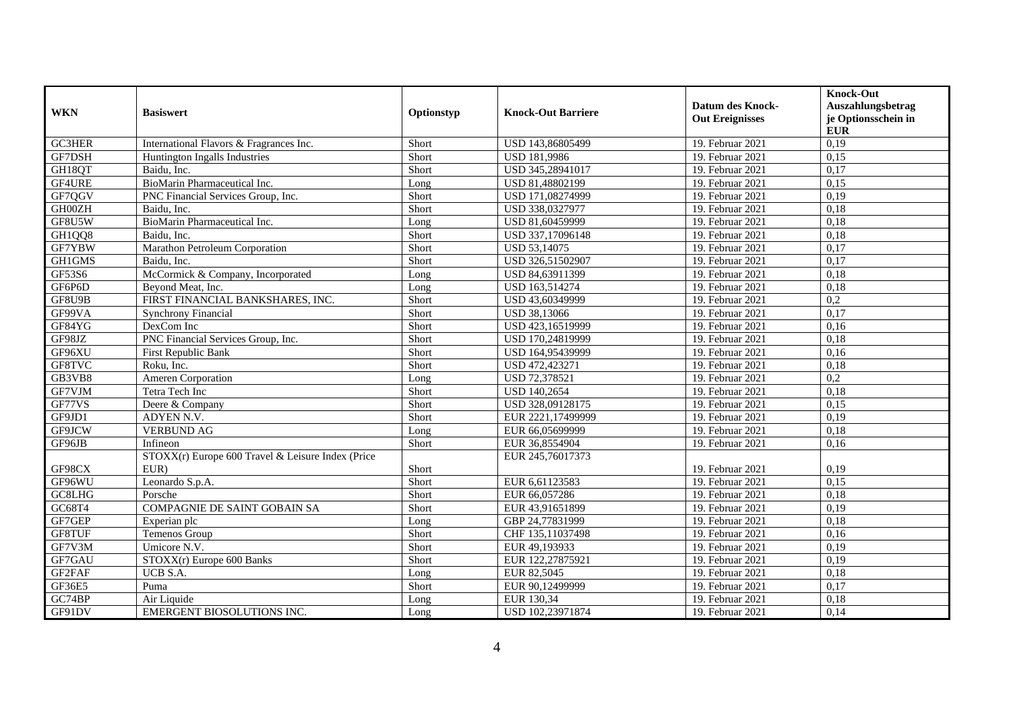| <b>WKN</b>    | <b>Basiswert</b>                                  | Optionstyp | <b>Knock-Out Barriere</b> | <b>Datum des Knock-</b><br><b>Out Ereignisses</b> | <b>Knock-Out</b><br>Auszahlungsbetrag<br>je Optionsschein in<br><b>EUR</b> |
|---------------|---------------------------------------------------|------------|---------------------------|---------------------------------------------------|----------------------------------------------------------------------------|
| GC3HER        | International Flavors & Fragrances Inc.           | Short      | USD 143,86805499          | 19. Februar 2021                                  | 0,19                                                                       |
| GF7DSH        | Huntington Ingalls Industries                     | Short      | <b>USD 181,9986</b>       | 19. Februar 2021                                  | 0,15                                                                       |
| GH18QT        | Baidu, Inc.                                       | Short      | USD 345,28941017          | 19. Februar 2021                                  | 0,17                                                                       |
| GF4URE        | BioMarin Pharmaceutical Inc.                      | Long       | USD 81,48802199           | 19. Februar 2021                                  | 0.15                                                                       |
| GF7QGV        | PNC Financial Services Group, Inc.                | Short      | USD 171,08274999          | 19. Februar 2021                                  | 0,19                                                                       |
| GH00ZH        | Baidu, Inc.                                       | Short      | USD 338,0327977           | 19. Februar 2021                                  | 0,18                                                                       |
| GF8U5W        | BioMarin Pharmaceutical Inc.                      | Long       | USD 81,60459999           | 19. Februar 2021                                  | 0,18                                                                       |
| GH1QQ8        | Baidu. Inc.                                       | Short      | USD 337,17096148          | 19. Februar 2021                                  | 0,18                                                                       |
| GF7YBW        | Marathon Petroleum Corporation                    | Short      | USD 53,14075              | 19. Februar 2021                                  | 0,17                                                                       |
| GH1GMS        | Baidu, Inc.                                       | Short      | USD 326,51502907          | 19. Februar 2021                                  | 0,17                                                                       |
| GF53S6        | McCormick & Company, Incorporated                 | Long       | USD 84,63911399           | 19. Februar 2021                                  | 0.18                                                                       |
| GF6P6D        | Beyond Meat, Inc.                                 | Long       | USD 163,514274            | 19. Februar 2021                                  | 0,18                                                                       |
| GF8U9B        | FIRST FINANCIAL BANKSHARES, INC.                  | Short      | USD 43,60349999           | 19. Februar 2021                                  | 0,2                                                                        |
| GF99VA        | <b>Synchrony Financial</b>                        | Short      | USD 38,13066              | 19. Februar 2021                                  | 0,17                                                                       |
| GF84YG        | DexCom Inc                                        | Short      | USD 423,16519999          | 19. Februar 2021                                  | 0,16                                                                       |
| GF98JZ        | PNC Financial Services Group, Inc.                | Short      | USD 170,24819999          | 19. Februar 2021                                  | 0,18                                                                       |
| GF96XU        | First Republic Bank                               | Short      | USD 164,95439999          | 19. Februar 2021                                  | 0,16                                                                       |
| GF8TVC        | Roku, Inc.                                        | Short      | USD 472,423271            | 19. Februar 2021                                  | 0,18                                                                       |
| GB3VB8        | Ameren Corporation                                | Long       | USD 72,378521             | 19. Februar 2021                                  | 0,2                                                                        |
| GF7VJM        | Tetra Tech Inc                                    | Short      | USD 140,2654              | 19. Februar 2021                                  | 0,18                                                                       |
| GF77VS        | Deere & Company                                   | Short      | USD 328,09128175          | 19. Februar 2021                                  | 0,15                                                                       |
| GF9JD1        | ADYEN N.V.                                        | Short      | EUR 2221,17499999         | 19. Februar 2021                                  | 0,19                                                                       |
| GF9JCW        | <b>VERBUND AG</b>                                 | Long       | EUR 66,05699999           | 19. Februar 2021                                  | 0,18                                                                       |
| GF96JB        | Infineon                                          | Short      | EUR 36,8554904            | 19. Februar 2021                                  | 0,16                                                                       |
|               | STOXX(r) Europe 600 Travel & Leisure Index (Price |            | EUR 245,76017373          |                                                   |                                                                            |
| GF98CX        | EUR)                                              | Short      |                           | 19. Februar 2021                                  | 0,19                                                                       |
| GF96WU        | Leonardo S.p.A.                                   | Short      | EUR 6,61123583            | 19. Februar 2021                                  | 0,15                                                                       |
| GC8LHG        | Porsche                                           | Short      | EUR 66,057286             | 19. Februar 2021                                  | 0,18                                                                       |
| GC68T4        | <b>COMPAGNIE DE SAINT GOBAIN SA</b>               | Short      | EUR 43,91651899           | 19. Februar 2021                                  | 0,19                                                                       |
| GF7GEP        | Experian plc                                      | Long       | GBP 24,77831999           | 19. Februar 2021                                  | 0,18                                                                       |
| GF8TUF        | Temenos Group                                     | Short      | CHF 135,11037498          | 19. Februar 2021                                  | 0,16                                                                       |
| GF7V3M        | Umicore N.V.                                      | Short      | EUR 49,193933             | 19. Februar 2021                                  | 0,19                                                                       |
| GF7GAU        | STOXX(r) Europe 600 Banks                         | Short      | EUR 122,27875921          | 19. Februar 2021                                  | 0,19                                                                       |
| GF2FAF        | UCB S.A.                                          | Long       | EUR 82,5045               | 19. Februar 2021                                  | 0,18                                                                       |
| <b>GF36E5</b> | Puma                                              | Short      | EUR 90,12499999           | 19. Februar 2021                                  | 0,17                                                                       |
| GC74BP        | Air Liquide                                       | Long       | EUR 130,34                | 19. Februar 2021                                  | 0,18                                                                       |
| GF91DV        | EMERGENT BIOSOLUTIONS INC.                        | Long       | USD 102,23971874          | 19. Februar 2021                                  | 0,14                                                                       |